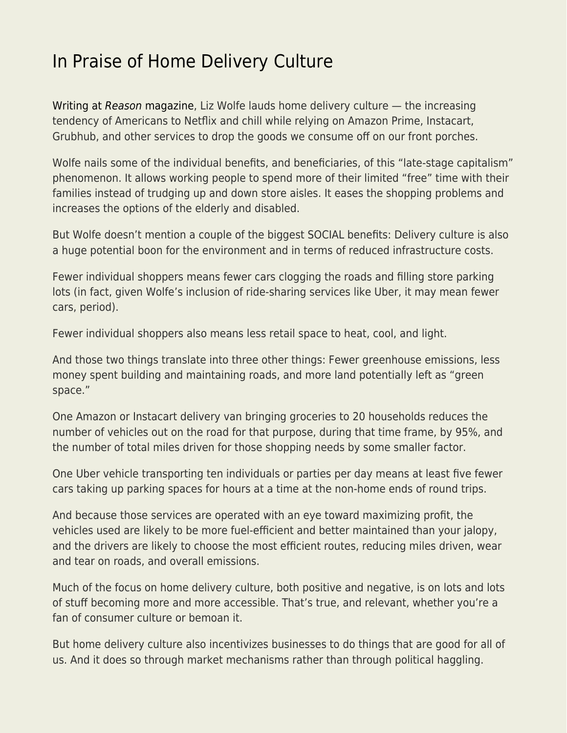## [In Praise of Home Delivery Culture](https://everything-voluntary.com/in-praise-of-home-delivery-culture)

[Writing at](https://reason.com/2019/12/17/thanks-to-late-stage-capitalism-you-no-longer-need-to-leave-your-house/) [Reason](https://reason.com/2019/12/17/thanks-to-late-stage-capitalism-you-no-longer-need-to-leave-your-house/) [magazine](https://reason.com/2019/12/17/thanks-to-late-stage-capitalism-you-no-longer-need-to-leave-your-house/), Liz Wolfe lauds home delivery culture — the increasing tendency of Americans to Netflix and chill while relying on Amazon Prime, Instacart, Grubhub, and other services to drop the goods we consume off on our front porches.

Wolfe nails some of the individual benefits, and beneficiaries, of this "late-stage capitalism" phenomenon. It allows working people to spend more of their limited "free" time with their families instead of trudging up and down store aisles. It eases the shopping problems and increases the options of the elderly and disabled.

But Wolfe doesn't mention a couple of the biggest SOCIAL benefits: Delivery culture is also a huge potential boon for the environment and in terms of reduced infrastructure costs.

Fewer individual shoppers means fewer cars clogging the roads and filling store parking lots (in fact, given Wolfe's inclusion of ride-sharing services like Uber, it may mean fewer cars, period).

Fewer individual shoppers also means less retail space to heat, cool, and light.

And those two things translate into three other things: Fewer greenhouse emissions, less money spent building and maintaining roads, and more land potentially left as "green space."

One Amazon or Instacart delivery van bringing groceries to 20 households reduces the number of vehicles out on the road for that purpose, during that time frame, by 95%, and the number of total miles driven for those shopping needs by some smaller factor.

One Uber vehicle transporting ten individuals or parties per day means at least five fewer cars taking up parking spaces for hours at a time at the non-home ends of round trips.

And because those services are operated with an eye toward maximizing profit, the vehicles used are likely to be more fuel-efficient and better maintained than your jalopy, and the drivers are likely to choose the most efficient routes, reducing miles driven, wear and tear on roads, and overall emissions.

Much of the focus on home delivery culture, both positive and negative, is on lots and lots of stuff becoming more and more accessible. That's true, and relevant, whether you're a fan of consumer culture or bemoan it.

But home delivery culture also incentivizes businesses to do things that are good for all of us. And it does so through market mechanisms rather than through political haggling.